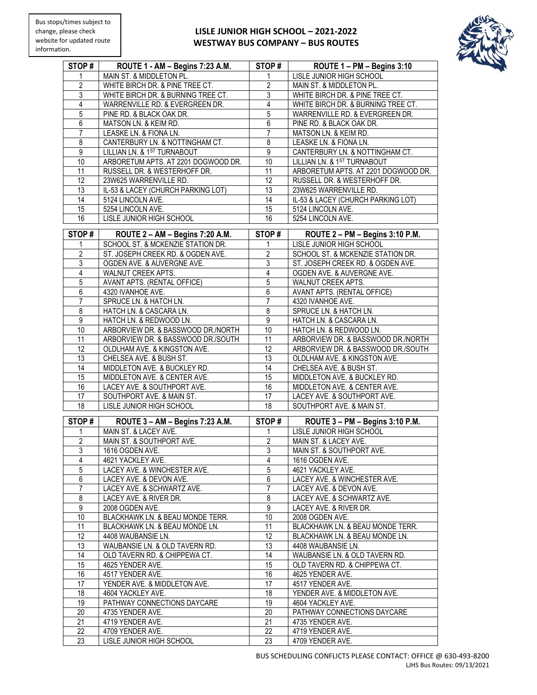## **LISLE JUNIOR HIGH SCHOOL – 2021-2022 WESTWAY BUS COMPANY – BUS ROUTES**



| STOP#           | ROUTE 1 - AM - Begins 7:23 A.M.     | STOP#           | ROUTE 1 - PM - Begins 3:10          |
|-----------------|-------------------------------------|-----------------|-------------------------------------|
| 1               | MAIN ST. & MIDDLETON PL.            |                 | <b>LISLE JUNIOR HIGH SCHOOL</b>     |
|                 |                                     |                 |                                     |
| 2               | WHITE BIRCH DR. & PINE TREE CT.     | 2               | MAIN ST. & MIDDLETON PL.            |
| $\overline{3}$  | WHITE BIRCH DR. & BURNING TREE CT.  | 3               | WHITE BIRCH DR. & PINE TREE CT.     |
| $\overline{4}$  | WARRENVILLE RD. & EVERGREEN DR.     | 4               | WHITE BIRCH DR. & BURNING TREE CT.  |
| 5               | PINE RD. & BLACK OAK DR.            | $\overline{5}$  | WARRENVILLE RD. & EVERGREEN DR.     |
| 6               | MATSON LN. & KEIM RD.               | 6               | PINE RD. & BLACK OAK DR.            |
| 7               | LEASKE LN. & FIONA LN.              | 7               | MATSON LN. & KEIM RD.               |
| 8               | CANTERBURY LN. & NOTTINGHAM CT.     | 8               | LEASKE LN. & FIONA LN.              |
| 9               | LILLIAN LN. & 1ST TURNABOUT         | 9               | CANTERBURY LN. & NOTTINGHAM CT.     |
| 10              | ARBORETUM APTS. AT 2201 DOGWOOD DR. | 10              | LILLIAN LN. & 1ST TURNABOUT         |
| 11              | RUSSELL DR. & WESTERHOFF DR.        | 11              | ARBORETUM APTS. AT 2201 DOGWOOD DR. |
| 12              | 23W625 WARRENVILLE RD.              | 12              | RUSSELL DR. & WESTERHOFF DR.        |
| $\overline{13}$ | IL-53 & LACEY (CHURCH PARKING LOT)  | $\overline{13}$ | 23W625 WARRENVILLE RD.              |
| 14              | 5124 LINCOLN AVE.                   | $\overline{14}$ | IL-53 & LACEY (CHURCH PARKING LOT)  |
| $\overline{15}$ | 5254 LINCOLN AVE.                   | 15              | 5124 LINCOLN AVE.                   |
| 16              |                                     | 16              | 5254 LINCOLN AVE.                   |
|                 | LISLE JUNIOR HIGH SCHOOL            |                 |                                     |
| STOP#           | ROUTE 2 - AM - Begins 7:20 A.M.     | STOP#           | ROUTE 2 - PM - Begins 3:10 P.M.     |
| 1               | SCHOOL ST. & MCKENZIE STATION DR.   | 1               | LISLE JUNIOR HIGH SCHOOL            |
| $\overline{2}$  | ST. JOSEPH CREEK RD. & OGDEN AVE.   | 2               | SCHOOL ST. & MCKENZIE STATION DR.   |
|                 |                                     |                 |                                     |
| 3               | OGDEN AVE. & AUVERGNE AVE.          | 3               | ST. JOSEPH CREEK RD. & OGDEN AVE.   |
| $\overline{4}$  | WALNUT CREEK APTS.                  | 4               | OGDEN AVE. & AUVERGNE AVE.          |
| 5               | AVANT APTS. (RENTAL OFFICE)         | 5               | WALNUT CREEK APTS.                  |
| 6               | 4320 IVANHOE AVE.                   | 6               | AVANT APTS. (RENTAL OFFICE)         |
| 7               | SPRUCE LN. & HATCH LN.              | 7               | 4320 IVANHOE AVE.                   |
| 8               | HATCH LN. & CASCARA LN.             | 8               | SPRUCE LN. & HATCH LN.              |
| 9               | HATCH LN. & REDWOOD LN.             | 9               | HATCH LN. & CASCARA LN.             |
| 10              | ARBORVIEW DR. & BASSWOOD DR./NORTH  | 10              | HATCH LN. & REDWOOD LN.             |
| 11              | ARBORVIEW DR. & BASSWOOD DR./SOUTH  | 11              | ARBORVIEW DR. & BASSWOOD DR./NORTH  |
| 12              | OLDLHAM AVE. & KINGSTON AVE.        | 12              | ARBORVIEW DR. & BASSWOOD DR./SOUTH  |
| $\overline{13}$ | CHELSEA AVE. & BUSH ST.             | $\overline{13}$ | OLDLHAM AVE. & KINGSTON AVE.        |
| 14              | MIDDLETON AVE. & BUCKLEY RD.        | 14              | CHELSEA AVE. & BUSH ST.             |
| 15              | MIDDLETON AVE. & CENTER AVE.        | 15              | MIDDLETON AVE. & BUCKLEY RD.        |
| 16              | LACEY AVE. & SOUTHPORT AVE.         | 16              | MIDDLETON AVE. & CENTER AVE.        |
| 17              | SOUTHPORT AVE. & MAIN ST.           | 17              | LACEY AVE. & SOUTHPORT AVE.         |
| 18              | LISLE JUNIOR HIGH SCHOOL            | $\overline{18}$ | SOUTHPORT AVE. & MAIN ST.           |
|                 |                                     |                 |                                     |
| STOP#           | ROUTE 3 - AM - Begins 7:23 A.M.     | STOP#           | ROUTE 3 - PM - Begins 3:10 P.M.     |
|                 | MAIN ST. & LACEY AVE.               |                 | LISLE JUNIOR HIGH SCHOOL            |
| $\overline{2}$  | MAIN ST. & SOUTHPORT AVE.           | $\overline{2}$  | MAIN ST. & LACEY AVE.               |
| $\overline{3}$  | 1616 OGDEN AVE.                     | 3               | MAIN ST. & SOUTHPORT AVE.           |
| 4               | 4621 YACKLEY AVE.                   | 4               | 1616 OGDEN AVE.                     |
| 5               | LACEY AVE. & WINCHESTER AVE.        | 5               | 4621 YACKLEY AVE.                   |
| 6               | LACEY AVE. & DEVON AVE.             |                 | LACEY AVE. & WINCHESTER AVE.        |
|                 |                                     | 6               |                                     |
| 7               | LACEY AVE. & SCHWARTZ AVE.          | 7               | LACEY AVE. & DEVON AVE.             |
| 8               | LACEY AVE. & RIVER DR.              | 8               | LACEY AVE. & SCHWARTZ AVE.          |
| $\overline{9}$  | 2008 OGDEN AVE.                     | 9               | LACEY AVE. & RIVER DR.              |
| 10              | BLACKHAWK LN. & BEAU MONDE TERR.    | 10              | 2008 OGDEN AVE.                     |
| 11              | BLACKHAWK LN. & BEAU MONDE LN.      | 11              | BLACKHAWK LN. & BEAU MONDE TERR.    |
| 12              | 4408 WAUBANSIE LN.                  | 12              | BLACKHAWK LN. & BEAU MONDE LN.      |
| 13              | WAUBANSIE LN. & OLD TAVERN RD.      | 13              | 4408 WAUBANSIE LN.                  |
| 14              | OLD TAVERN RD. & CHIPPEWA CT.       | 14              | WAUBANSIE LN. & OLD TAVERN RD.      |
| 15              | 4625 YENDER AVE.                    | 15              | OLD TAVERN RD. & CHIPPEWA CT.       |
| 16              | 4517 YENDER AVE.                    | 16              | 4625 YENDER AVE.                    |
| 17              | YENDER AVE. & MIDDLETON AVE.        | 17              | 4517 YENDER AVE.                    |
| 18              | 4604 YACKLEY AVE.                   | 18              | YENDER AVE. & MIDDLETON AVE.        |
| 19              | PATHWAY CONNECTIONS DAYCARE         | 19              | 4604 YACKLEY AVE.                   |
| 20              | 4735 YENDER AVE.                    | 20              | PATHWAY CONNECTIONS DAYCARE         |
| $\overline{21}$ | 4719 YENDER AVE.                    | 21              | 4735 YENDER AVE.                    |
| 22              | 4709 YENDER AVE.                    | 22              | 4719 YENDER AVE.                    |
| $\overline{23}$ | LISLE JUNIOR HIGH SCHOOL            | $\overline{23}$ | 4709 YENDER AVE.                    |
|                 |                                     |                 |                                     |